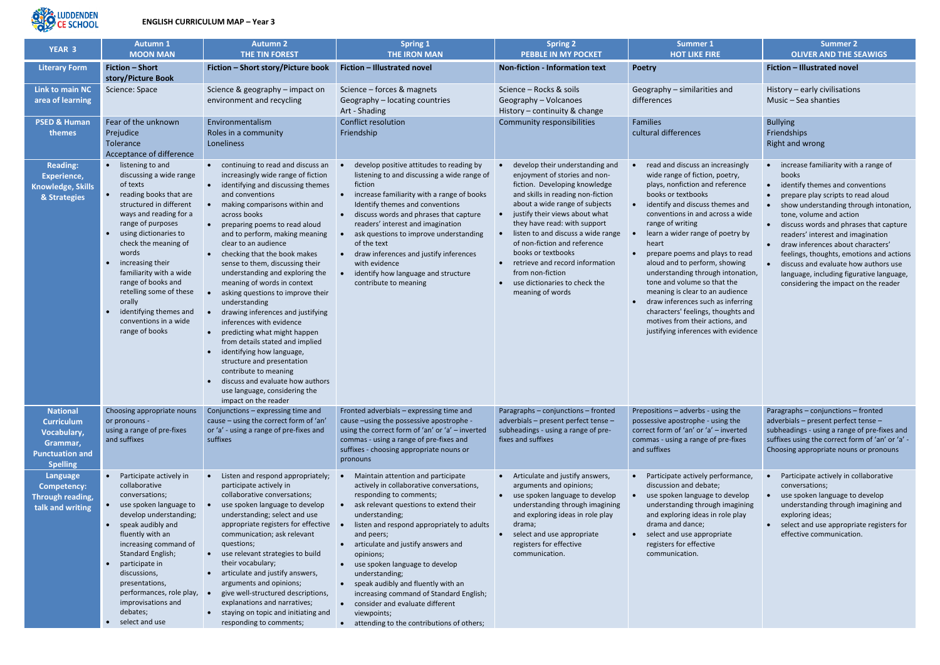

| <b>YEAR 3</b>                                                                                                       | <b>Autumn 1</b>                                                                                                                                                                                                                                                                                                                                                                                      | <b>Autumn 2</b>                                                                                                                                                                                                                                                                                                                                                                                                                                                                                                                                                                                                                                                                                                                                                                                                    | <b>Spring 1</b>                                                                                                                                                                                                                                                                                                                                                                                                                                                                                                                             | <b>Spring 2</b>                                                                                                                                                                                                                                                                                                                                                                                                                                    | <b>Summer 1</b>                                                                                                                                                                                                                                                                                                                                                                                                                                                                                                                                                                                     | <b>Summer 2</b>                                                                                                                                                                                                                                                                                                                                                                                                                                                                                                                    |
|---------------------------------------------------------------------------------------------------------------------|------------------------------------------------------------------------------------------------------------------------------------------------------------------------------------------------------------------------------------------------------------------------------------------------------------------------------------------------------------------------------------------------------|--------------------------------------------------------------------------------------------------------------------------------------------------------------------------------------------------------------------------------------------------------------------------------------------------------------------------------------------------------------------------------------------------------------------------------------------------------------------------------------------------------------------------------------------------------------------------------------------------------------------------------------------------------------------------------------------------------------------------------------------------------------------------------------------------------------------|---------------------------------------------------------------------------------------------------------------------------------------------------------------------------------------------------------------------------------------------------------------------------------------------------------------------------------------------------------------------------------------------------------------------------------------------------------------------------------------------------------------------------------------------|----------------------------------------------------------------------------------------------------------------------------------------------------------------------------------------------------------------------------------------------------------------------------------------------------------------------------------------------------------------------------------------------------------------------------------------------------|-----------------------------------------------------------------------------------------------------------------------------------------------------------------------------------------------------------------------------------------------------------------------------------------------------------------------------------------------------------------------------------------------------------------------------------------------------------------------------------------------------------------------------------------------------------------------------------------------------|------------------------------------------------------------------------------------------------------------------------------------------------------------------------------------------------------------------------------------------------------------------------------------------------------------------------------------------------------------------------------------------------------------------------------------------------------------------------------------------------------------------------------------|
|                                                                                                                     | <b>MOON MAN</b>                                                                                                                                                                                                                                                                                                                                                                                      | THE TIN FOREST                                                                                                                                                                                                                                                                                                                                                                                                                                                                                                                                                                                                                                                                                                                                                                                                     | <b>THE IRON MAN</b>                                                                                                                                                                                                                                                                                                                                                                                                                                                                                                                         | <b>PEBBLE IN MY POCKET</b>                                                                                                                                                                                                                                                                                                                                                                                                                         | <b>HOT LIKE FIRE</b>                                                                                                                                                                                                                                                                                                                                                                                                                                                                                                                                                                                | <b>OLIVER AND THE SEAWIGS</b>                                                                                                                                                                                                                                                                                                                                                                                                                                                                                                      |
| <b>Literary Form</b>                                                                                                | <b>Fiction - Short</b>                                                                                                                                                                                                                                                                                                                                                                               | Fiction - Short story/Picture book                                                                                                                                                                                                                                                                                                                                                                                                                                                                                                                                                                                                                                                                                                                                                                                 | Fiction - Illustrated novel                                                                                                                                                                                                                                                                                                                                                                                                                                                                                                                 | <b>Non-fiction - Information text</b>                                                                                                                                                                                                                                                                                                                                                                                                              | Poetry                                                                                                                                                                                                                                                                                                                                                                                                                                                                                                                                                                                              | Fiction - Illustrated novel                                                                                                                                                                                                                                                                                                                                                                                                                                                                                                        |
| Link to main NC<br>area of learning                                                                                 | story/Picture Book<br>Science: Space                                                                                                                                                                                                                                                                                                                                                                 | Science & geography - impact on<br>environment and recycling                                                                                                                                                                                                                                                                                                                                                                                                                                                                                                                                                                                                                                                                                                                                                       | Science - forces & magnets<br>Geography - locating countries<br>Art - Shading                                                                                                                                                                                                                                                                                                                                                                                                                                                               | Science - Rocks & soils<br>Geography - Volcanoes<br>History - continuity & change                                                                                                                                                                                                                                                                                                                                                                  | Geography - similarities and<br>differences                                                                                                                                                                                                                                                                                                                                                                                                                                                                                                                                                         | History - early civilisations<br>Music - Sea shanties                                                                                                                                                                                                                                                                                                                                                                                                                                                                              |
| <b>PSED &amp; Human</b><br>themes                                                                                   | Fear of the unknown<br>Prejudice<br>Tolerance<br>Acceptance of difference                                                                                                                                                                                                                                                                                                                            | Environmentalism<br>Roles in a community<br>Loneliness                                                                                                                                                                                                                                                                                                                                                                                                                                                                                                                                                                                                                                                                                                                                                             | <b>Conflict resolution</b><br>Friendship                                                                                                                                                                                                                                                                                                                                                                                                                                                                                                    | Community responsibilities                                                                                                                                                                                                                                                                                                                                                                                                                         | Families<br>cultural differences                                                                                                                                                                                                                                                                                                                                                                                                                                                                                                                                                                    | <b>Bullying</b><br>Friendships<br>Right and wrong                                                                                                                                                                                                                                                                                                                                                                                                                                                                                  |
| <b>Reading:</b><br>Experience,<br><b>Knowledge, Skills</b><br>& Strategies                                          | listening to and<br>discussing a wide range<br>of texts<br>reading books that are<br>structured in different<br>ways and reading for a<br>range of purposes<br>using dictionaries to<br>check the meaning of<br>words<br>increasing their<br>familiarity with a wide<br>range of books and<br>retelling some of these<br>orally<br>identifying themes and<br>conventions in a wide<br>range of books | • continuing to read and discuss an<br>increasingly wide range of fiction<br>• identifying and discussing themes<br>and conventions<br>making comparisons within and<br>across books<br>• preparing poems to read aloud<br>and to perform, making meaning<br>clear to an audience<br>• checking that the book makes<br>sense to them, discussing their<br>understanding and exploring the<br>meaning of words in context<br>asking questions to improve their<br>understanding<br>drawing inferences and justifying<br>inferences with evidence<br>• predicting what might happen<br>from details stated and implied<br>identifying how language,<br>$\bullet$<br>structure and presentation<br>contribute to meaning<br>discuss and evaluate how authors<br>use language, considering the<br>impact on the reader | develop positive attitudes to reading by<br>listening to and discussing a wide range of<br>fiction<br>increase familiarity with a range of books<br>$\bullet$<br>Identify themes and conventions<br>discuss words and phrases that capture<br>$\bullet$<br>readers' interest and imagination<br>ask questions to improve understanding<br>of the text<br>• draw inferences and justify inferences<br>with evidence<br>identify how language and structure<br>contribute to meaning                                                          | develop their understanding and<br>enjoyment of stories and non-<br>fiction. Developing knowledge<br>and skills in reading non-fiction<br>about a wide range of subjects<br>justify their views about what<br>they have read: with support<br>listen to and discuss a wide range<br>of non-fiction and reference<br>books or textbooks<br>retrieve and record information<br>from non-fiction<br>use dictionaries to check the<br>meaning of words | read and discuss an increasingly<br>wide range of fiction, poetry,<br>plays, nonfiction and reference<br>books or textbooks<br>identify and discuss themes and<br>conventions in and across a wide<br>range of writing<br>learn a wider range of poetry by<br>heart<br>prepare poems and plays to read<br>aloud and to perform, showing<br>understanding through intonation,<br>tone and volume so that the<br>meaning is clear to an audience<br>draw inferences such as inferring<br>characters' feelings, thoughts and<br>motives from their actions, and<br>justifying inferences with evidence | • increase familiarity with a range of<br>books<br>identify themes and conventions<br>$\bullet$<br>prepare play scripts to read aloud<br>show understanding through intonation,<br>tone, volume and action<br>discuss words and phrases that capture<br>$\bullet$<br>readers' interest and imagination<br>• draw inferences about characters'<br>feelings, thoughts, emotions and actions<br>discuss and evaluate how authors use<br>$\bullet$<br>language, including figurative language,<br>considering the impact on the reader |
| <b>National</b><br><b>Curriculum</b><br><b>Vocabulary,</b><br>Grammar,<br><b>Punctuation and</b><br><b>Spelling</b> | Choosing appropriate nouns<br>or pronouns -<br>using a range of pre-fixes<br>and suffixes                                                                                                                                                                                                                                                                                                            | Conjunctions - expressing time and<br>cause - using the correct form of 'an'<br>or 'a' - using a range of pre-fixes and<br>suffixes                                                                                                                                                                                                                                                                                                                                                                                                                                                                                                                                                                                                                                                                                | Fronted adverbials - expressing time and<br>cause -using the possessive apostrophe -<br>using the correct form of 'an' or 'a' - inverted<br>commas - using a range of pre-fixes and<br>suffixes - choosing appropriate nouns or<br>pronouns                                                                                                                                                                                                                                                                                                 | Paragraphs - conjunctions - fronted<br>adverbials - present perfect tense -<br>subheadings - using a range of pre-<br>fixes and suffixes                                                                                                                                                                                                                                                                                                           | Prepositions - adverbs - using the<br>possessive apostrophe - using the<br>correct form of 'an' or 'a' - inverted<br>commas - using a range of pre-fixes<br>and suffixes                                                                                                                                                                                                                                                                                                                                                                                                                            | Paragraphs - conjunctions - fronted<br>adverbials - present perfect tense -<br>subheadings - using a range of pre-fixes and<br>suffixes using the correct form of 'an' or 'a' -<br>Choosing appropriate nouns or pronouns                                                                                                                                                                                                                                                                                                          |
| Language<br><b>Competency:</b><br>Through reading,<br>talk and writing                                              | Participate actively in<br>collaborative<br>conversations;<br>use spoken language to<br>develop understanding;<br>speak audibly and<br>fluently with an<br>increasing command of<br>Standard English;<br>participate in<br>discussions,<br>presentations,<br>performances, role play,<br>improvisations and<br>debates;<br>select and use                                                            | • Listen and respond appropriately;<br>participate actively in<br>collaborative conversations;<br>use spoken language to develop<br>understanding; select and use<br>appropriate registers for effective<br>communication; ask relevant<br>questions;<br>• use relevant strategies to build<br>their vocabulary;<br>• articulate and justify answers,<br>arguments and opinions;<br>give well-structured descriptions,<br>explanations and narratives;<br>• staying on topic and initiating and<br>responding to comments;                                                                                                                                                                                                                                                                                         | Maintain attention and participate<br>actively in collaborative conversations,<br>responding to comments;<br>ask relevant questions to extend their<br>understanding;<br>listen and respond appropriately to adults<br>and peers;<br>• articulate and justify answers and<br>opinions;<br>use spoken language to develop<br>understanding;<br>• speak audibly and fluently with an<br>increasing command of Standard English;<br>consider and evaluate different<br>$\bullet$<br>viewpoints;<br>• attending to the contributions of others; | • Articulate and justify answers,<br>arguments and opinions;<br>use spoken language to develop<br>understanding through imagining<br>and exploring ideas in role play<br>drama;<br>select and use appropriate<br>registers for effective<br>communication.                                                                                                                                                                                         | Participate actively performance,<br>discussion and debate;<br>use spoken language to develop<br>understanding through imagining<br>and exploring ideas in role play<br>drama and dance;<br>select and use appropriate<br>registers for effective<br>communication.                                                                                                                                                                                                                                                                                                                                 | Participate actively in collaborative<br>conversations;<br>use spoken language to develop<br>$\bullet$<br>understanding through imagining and<br>exploring ideas;<br>• select and use appropriate registers for<br>effective communication.                                                                                                                                                                                                                                                                                        |